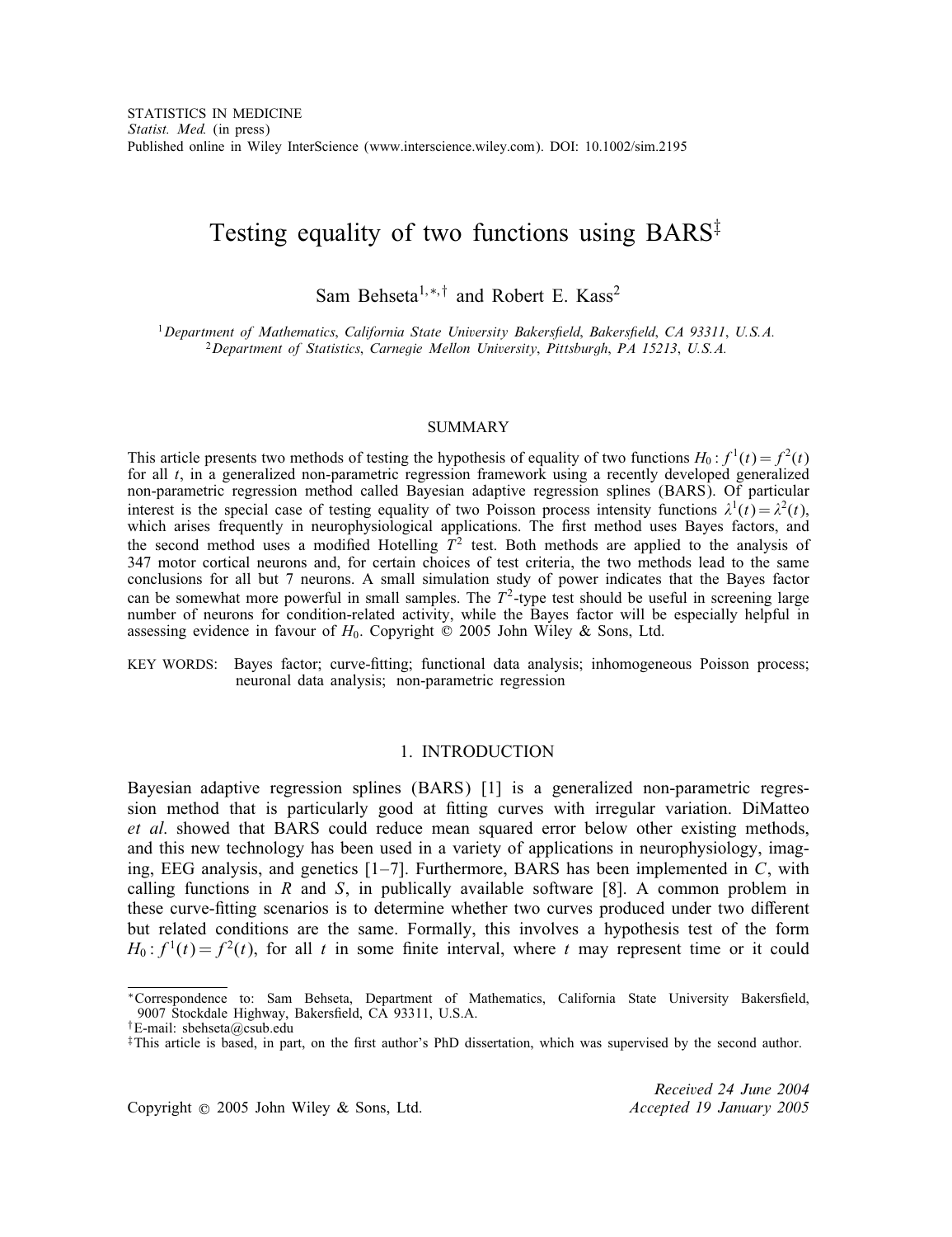# Testing equality of two functions using  $BARS^{\ddagger}$

Sam Behseta<sup>1,\*,†</sup> and Robert E. Kass<sup>2</sup>

<sup>1</sup>*Department of Mathematics*; *California State University Bakerseld*; *Bakerseld*; *CA 93311*; *U.S.A.* <sup>2</sup>*Department of Statistics*; *Carnegie Mellon University*; *Pittsburgh*; *PA 15213*; *U.S.A.*

### SUMMARY

This article presents two methods of testing the hypothesis of equality of two functions  $H_0: f^1(t) = f^2(t)$ for all t, in a generalized non-parametric regression framework using a recently developed generalized non-parametric regression method called Bayesian adaptive regression splines (BARS). Of particular interest is the special case of testing equality of two Poisson process intensity functions  $\lambda^1(t) = \lambda^2(t)$ , which arises frequently in neurophysiological applications. The first method uses Bayes factors, and the second method uses a modified Hotelling  $T^2$  test. Both methods are applied to the analysis of 347 motor cortical neurons and, for certain choices of test criteria, the two methods lead to the same conclusions for all but 7 neurons. A small simulation study of power indicates that the Bayes factor can be somewhat more powerful in small samples. The  $T^2$ -type test should be useful in screening large number of neurons for condition-related activity, while the Bayes factor will be especially helpful in assessing evidence in favour of  $H_0$ . Copyright  $\odot$  2005 John Wiley & Sons, Ltd.

KEY WORDS: Bayes factor; curve-fitting; functional data analysis; inhomogeneous Poisson process; neuronal data analysis; non-parametric regression

# 1. INTRODUCTION

Bayesian adaptive regression splines (BARS) [1] is a generalized non-parametric regression method that is particularly good at fitting curves with irregular variation. DiMatteo *et al*. showed that BARS could reduce mean squared error below other existing methods, and this new technology has been used in a variety of applications in neurophysiology, imaging, EEG analysis, and genetics  $[1-7]$ . Furthermore, BARS has been implemented in C, with calling functions in R and S, in publically available software  $[8]$ . A common problem in these curve-fitting scenarios is to determine whether two curves produced under two different but related conditions are the same. Formally, this involves a hypothesis test of the form  $H_0: f<sup>1</sup>(t) = f<sup>2</sup>(t)$ , for all t in some finite interval, where t may represent time or it could

Copyright ? 2005 John Wiley & Sons, Ltd. *Accepted 19 January 2005*

*Received 24 June 2004*

<sup>\*</sup>Correspondence to: Sam Behseta, Department of Mathematics, California State University Bakersfield, 9007 Stockdale Highway, Bakersfield, CA 93311, U.S.A.

<sup>†</sup>E-mail: sbehseta@csub.edu

 $\ddagger$ This article is based, in part, on the first author's PhD dissertation, which was supervised by the second author.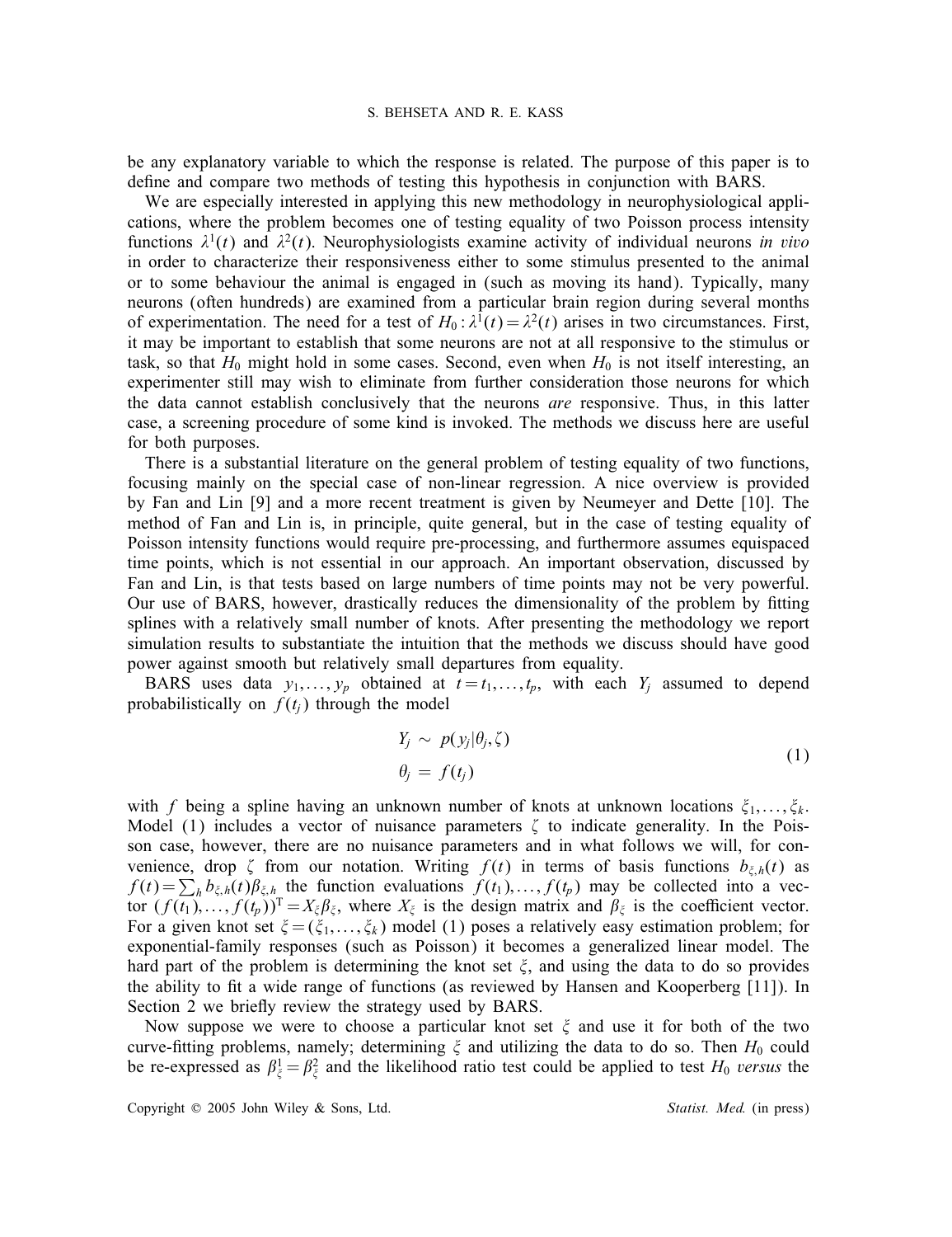be any explanatory variable to which the response is related. The purpose of this paper is to define and compare two methods of testing this hypothesis in conjunction with BARS.

We are especially interested in applying this new methodology in neurophysiological applications, where the problem becomes one of testing equality of two Poisson process intensity functions  $\lambda^1(t)$  and  $\lambda^2(t)$ . Neurophysiologists examine activity of individual neurons *in vivo* in order to characterize their responsiveness either to some stimulus presented to the animal or to some behaviour the animal is engaged in (such as moving its hand). Typically, many neurons (often hundreds) are examined from a particular brain region during several months of experimentation. The need for a test of  $H_0: \lambda^1(t) = \lambda^2(t)$  arises in two circumstances. First, it may be important to establish that some neurons are not at all responsive to the stimulus or task, so that  $H_0$  might hold in some cases. Second, even when  $H_0$  is not itself interesting, an experimenter still may wish to eliminate from further consideration those neurons for which the data cannot establish conclusively that the neurons *are* responsive. Thus, in this latter case, a screening procedure of some kind is invoked. The methods we discuss here are useful for both purposes.

There is a substantial literature on the general problem of testing equality of two functions, focusing mainly on the special case of non-linear regression. A nice overview is provided by Fan and Lin [9] and a more recent treatment is given by Neumeyer and Dette [10]. The method of Fan and Lin is, in principle, quite general, but in the case of testing equality of Poisson intensity functions would require pre-processing, and furthermore assumes equispaced time points, which is not essential in our approach. An important observation, discussed by Fan and Lin, is that tests based on large numbers of time points may not be very powerful. Our use of BARS, however, drastically reduces the dimensionality of the problem by tting splines with a relatively small number of knots. After presenting the methodology we report simulation results to substantiate the intuition that the methods we discuss should have good power against smooth but relatively small departures from equality.

BARS uses data  $y_1, \ldots, y_p$  obtained at  $t = t_1, \ldots, t_p$ , with each  $Y_j$  assumed to depend probabilistically on  $f(t_i)$  through the model

$$
Y_j \sim p(y_j|\theta_j,\zeta) \n\theta_j = f(t_j)
$$
\n(1)

with f being a spline having an unknown number of knots at unknown locations  $\xi_1, \ldots, \xi_k$ . Model (1) includes a vector of nuisance parameters  $\zeta$  to indicate generality. In the Poisson case, however, there are no nuisance parameters and in what follows we will, for convenience, drop  $\zeta$  from our notation. Writing  $f(t)$  in terms of basis functions  $b_{\zeta,h}(t)$  as  $f(t) = \sum_h b_{\xi,h}(t) \beta_{\xi,h}$  the function evaluations  $f(t_1),..., f(t_p)$  may be collected into a vector  $(f(t_1),..., f(t_p))^T = X_\xi \beta_\xi$ , where  $X_\xi$  is the design matrix and  $\beta_\xi$  is the coefficient vector. For a given knot set  $\xi = (\xi_1,...,\xi_k)$  model (1) poses a relatively easy estimation problem; for exponential-family responses (such as Poisson) it becomes a generalized linear model. The hard part of the problem is determining the knot set  $\xi$ , and using the data to do so provides the ability to fit a wide range of functions (as reviewed by Hansen and Kooperberg  $[11]$ ). In Section 2 we briefly review the strategy used by BARS.

Now suppose we were to choose a particular knot set  $\xi$  and use it for both of the two curve-fitting problems, namely; determining  $\xi$  and utilizing the data to do so. Then  $H_0$  could be re-expressed as  $\beta_{\xi}^1 = \beta_{\xi}^2$  and the likelihood ratio test could be applied to test  $H_0$  *versus* the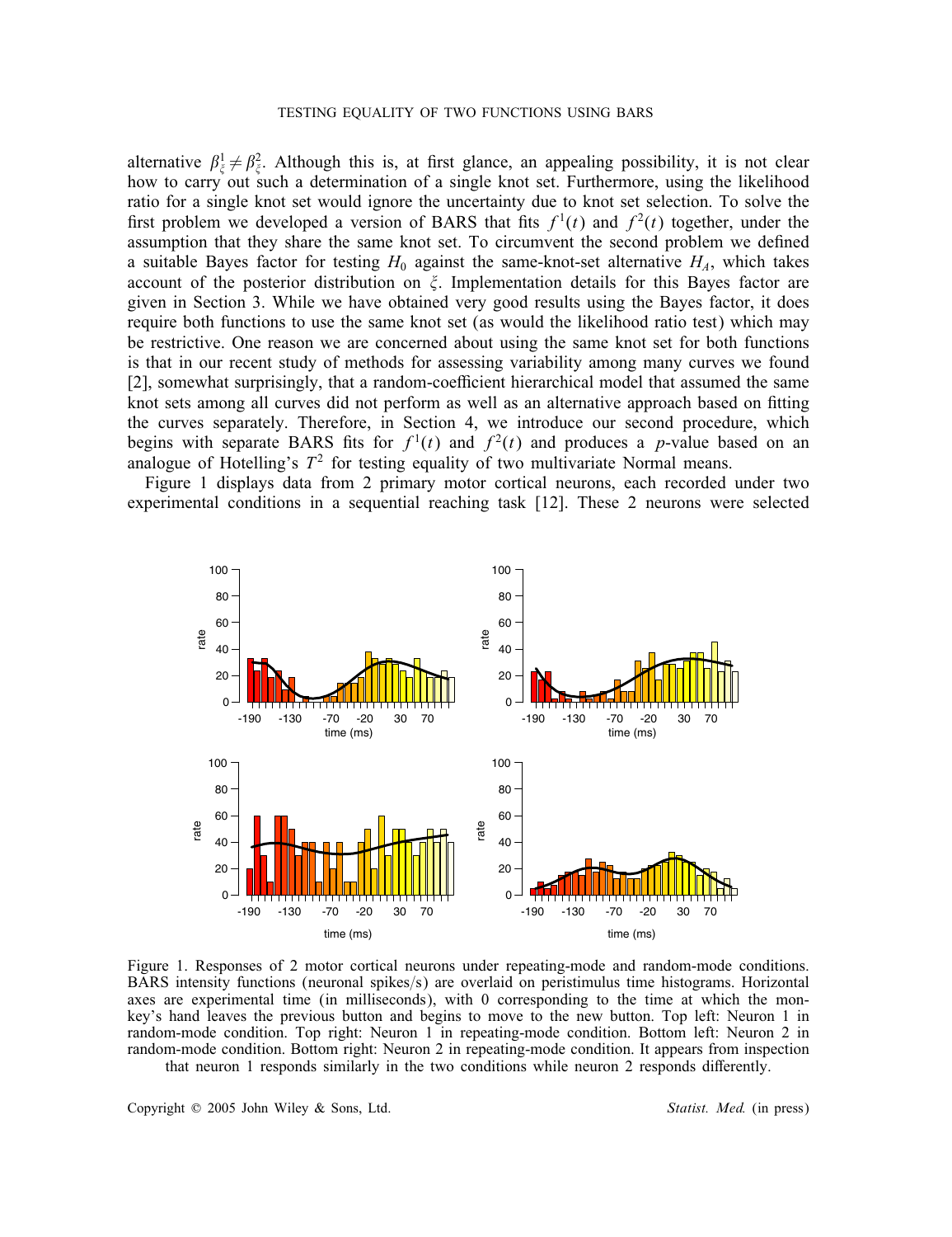alternative  $\beta_{\xi}^1 \neq \beta_{\xi}^2$ . Although this is, at first glance, an appealing possibility, it is not clear how to carry out such a determination of a single knot set. Furthermore, using the likelihood ratio for a single knot set would ignore the uncertainty due to knot set selection. To solve the first problem we developed a version of BARS that fits  $f<sup>1</sup>(t)$  and  $f<sup>2</sup>(t)$  together, under the assumption that they share the same knot set. To circumvent the second problem we defined a suitable Bayes factor for testing  $H_0$  against the same-knot-set alternative  $H<sub>A</sub>$ , which takes account of the posterior distribution on  $\xi$ . Implementation details for this Bayes factor are given in Section 3. While we have obtained very good results using the Bayes factor, it does require both functions to use the same knot set (as would the likelihood ratio test) which may be restrictive. One reason we are concerned about using the same knot set for both functions is that in our recent study of methods for assessing variability among many curves we found [2], somewhat surprisingly, that a random-coefficient hierarchical model that assumed the same knot sets among all curves did not perform as well as an alternative approach based on fitting the curves separately. Therefore, in Section 4, we introduce our second procedure, which begins with separate BARS fits for  $f<sup>1</sup>(t)$  and  $f<sup>2</sup>(t)$  and produces a p-value based on an analogue of Hotelling's  $T^2$  for testing equality of two multivariate Normal means.

Figure 1 displays data from 2 primary motor cortical neurons, each recorded under two experimental conditions in a sequential reaching task [12]. These 2 neurons were selected



Figure 1. Responses of 2 motor cortical neurons under repeating-mode and random-mode conditions. BARS intensity functions (neuronal spikes/s) are overlaid on peristimulus time histograms. Horizontal axes are experimental time (in milliseconds), with 0 corresponding to the time at which the monkey's hand leaves the previous button and begins to move to the new button. Top left: Neuron 1 in random-mode condition. Top right: Neuron 1 in repeating-mode condition. Bottom left: Neuron 2 in random-mode condition. Bottom right: Neuron 2 in repeating-mode condition. It appears from inspection that neuron 1 responds similarly in the two conditions while neuron 2 responds differently.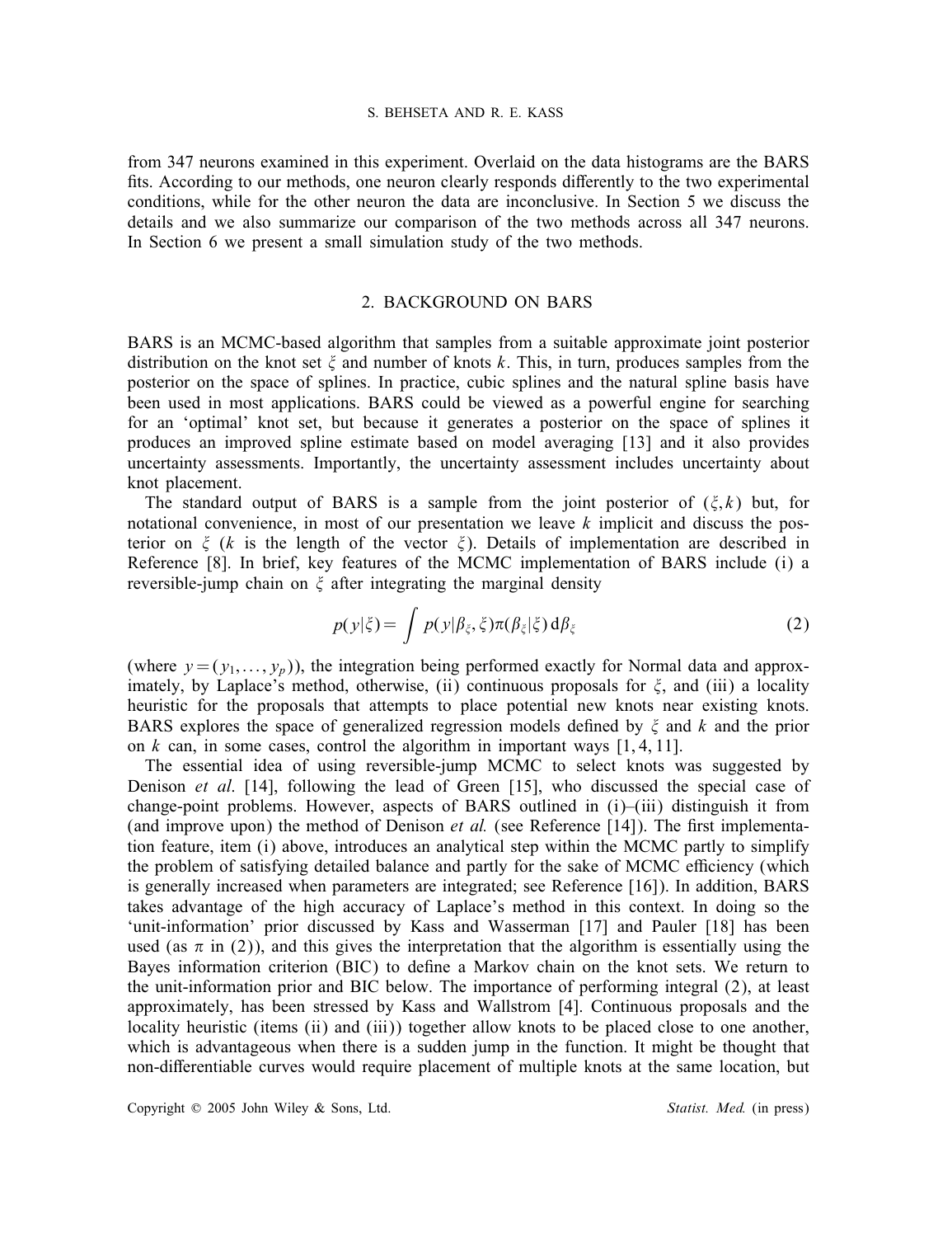from 347 neurons examined in this experiment. Overlaid on the data histograms are the BARS fits. According to our methods, one neuron clearly responds differently to the two experimental conditions, while for the other neuron the data are inconclusive. In Section 5 we discuss the details and we also summarize our comparison of the two methods across all 347 neurons. In Section 6 we present a small simulation study of the two methods.

# 2. BACKGROUND ON BARS

BARS is an MCMC-based algorithm that samples from a suitable approximate joint posterior distribution on the knot set  $\zeta$  and number of knots k. This, in turn, produces samples from the posterior on the space of splines. In practice, cubic splines and the natural spline basis have been used in most applications. BARS could be viewed as a powerful engine for searching for an 'optimal' knot set, but because it generates a posterior on the space of splines it produces an improved spline estimate based on model averaging [13] and it also provides uncertainty assessments. Importantly, the uncertainty assessment includes uncertainty about knot placement.

The standard output of BARS is a sample from the joint posterior of  $(\xi, k)$  but, for notational convenience, in most of our presentation we leave  $k$  implicit and discuss the posterior on  $\xi$  (k is the length of the vector  $\xi$ ). Details of implementation are described in Reference [8]. In brief, key features of the MCMC implementation of BARS include (i) a reversible-jump chain on  $\xi$  after integrating the marginal density

$$
p(y|\xi) = \int p(y|\beta_{\xi}, \xi) \pi(\beta_{\xi}|\xi) d\beta_{\xi}
$$
 (2)

(where  $y = (y_1, \ldots, y_n)$ ), the integration being performed exactly for Normal data and approximately, by Laplace's method, otherwise, (ii) continuous proposals for  $\xi$ , and (iii) a locality heuristic for the proposals that attempts to place potential new knots near existing knots. BARS explores the space of generalized regression models defined by  $\xi$  and  $k$  and the prior on k can, in some cases, control the algorithm in important ways  $[1, 4, 11]$ .

The essential idea of using reversible-jump MCMC to select knots was suggested by Denison *et al*. [14], following the lead of Green [15], who discussed the special case of change-point problems. However, aspects of BARS outlined in (i)–(iii) distinguish it from (and improve upon) the method of Denison  $et$  al. (see Reference [14]). The first implementation feature, item (i) above, introduces an analytical step within the MCMC partly to simplify the problem of satisfying detailed balance and partly for the sake of MCMC efficiency (which is generally increased when parameters are integrated; see Reference [16]). In addition, BARS takes advantage of the high accuracy of Laplace's method in this context. In doing so the 'unit-information' prior discussed by Kass and Wasserman [17] and Pauler [18] has been used (as  $\pi$  in (2)), and this gives the interpretation that the algorithm is essentially using the Bayes information criterion (BIC) to define a Markov chain on the knot sets. We return to the unit-information prior and BIC below. The importance of performing integral (2), at least approximately, has been stressed by Kass and Wallstrom [4]. Continuous proposals and the locality heuristic (items (ii) and (iii)) together allow knots to be placed close to one another, which is advantageous when there is a sudden jump in the function. It might be thought that non-differentiable curves would require placement of multiple knots at the same location, but

Copyright  $\heartsuit$  2005 John Wiley & Sons, Ltd. **Statist. Med.** (in press)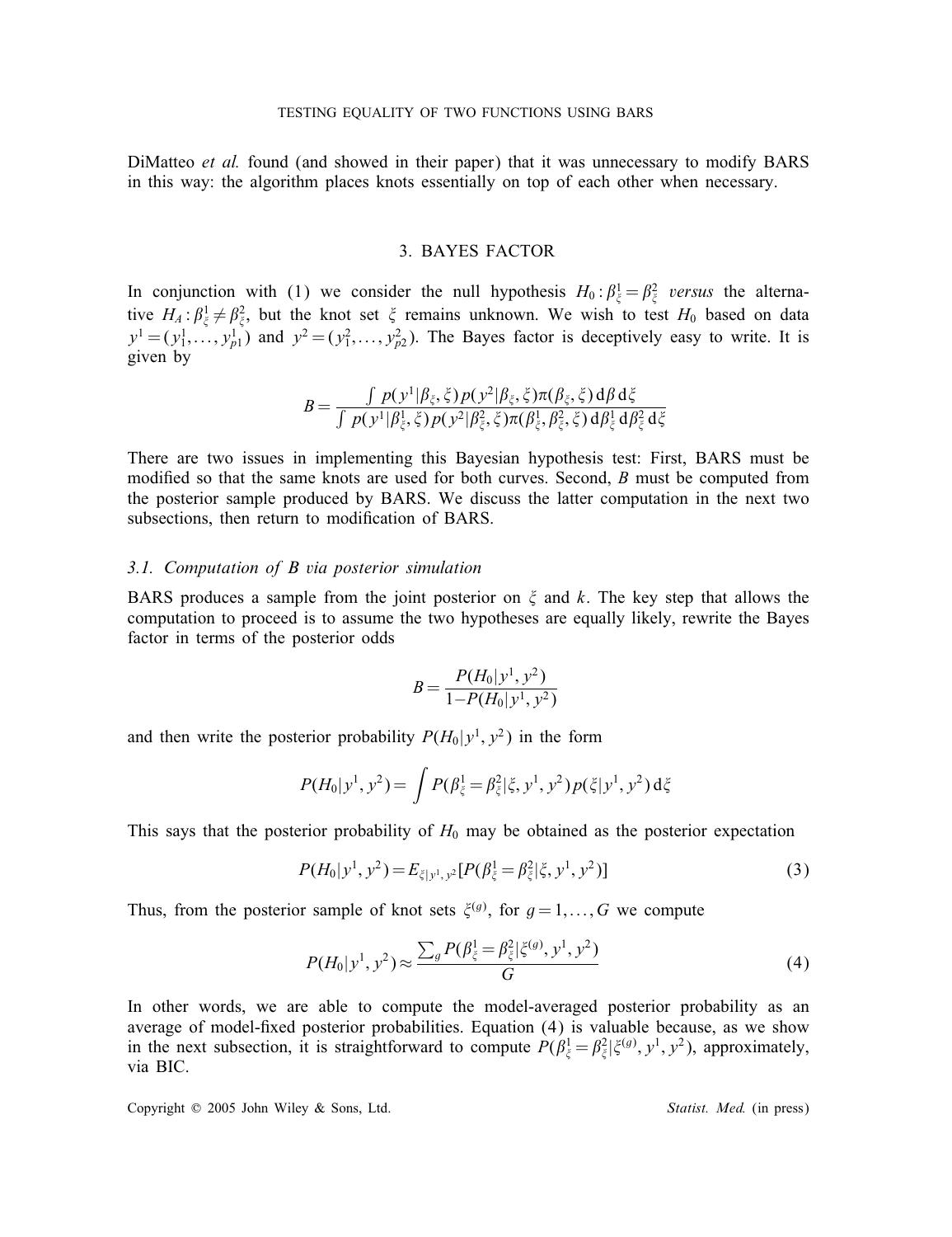DiMatteo *et al.* found (and showed in their paper) that it was unnecessary to modify BARS in this way: the algorithm places knots essentially on top of each other when necessary.

## 3. BAYES FACTOR

In conjunction with (1) we consider the null hypothesis  $H_0: \beta_{\xi}^1 = \beta_{\xi}^2$  versus the alternative  $H_A: \beta_{\xi}^1 \neq \beta_{\xi}^2$ , but the knot set  $\xi$  remains unknown. We wish to test  $H_0$  based on data  $y^1 = (y_1^1, \ldots, y_{p1}^1)$  and  $y^2 = (y_1^2, \ldots, y_{p2}^2)$ . The Bayes factor is deceptively easy to write. It is given by

$$
B = \frac{\int p(y^1 | \beta_{\xi}, \xi) p(y^2 | \beta_{\xi}, \xi) \pi(\beta_{\xi}, \xi) d\beta d\xi}{\int p(y^1 | \beta_{\xi}, \xi) p(y^2 | \beta_{\xi}, \xi) \pi(\beta_{\xi}, \beta_{\xi}, \xi) d\beta_{\xi} d\beta_{\xi}^2 d\xi}
$$

There are two issues in implementing this Bayesian hypothesis test: First, BARS must be modified so that the same knots are used for both curves. Second,  $B$  must be computed from the posterior sample produced by BARS. We discuss the latter computation in the next two subsections, then return to modification of BARS.

#### *3.1. Computation of B via posterior simulation*

BARS produces a sample from the joint posterior on  $\xi$  and k. The key step that allows the computation to proceed is to assume the two hypotheses are equally likely, rewrite the Bayes factor in terms of the posterior odds

$$
B = \frac{P(H_0|y^1, y^2)}{1 - P(H_0|y^1, y^2)}
$$

and then write the posterior probability  $P(H_0|y^1, y^2)$  in the form

$$
P(H_0|y^1, y^2) = \int P(\beta_{\xi}^1 = \beta_{\xi}^2|\xi, y^1, y^2) p(\xi|y^1, y^2) d\xi
$$

This says that the posterior probability of  $H_0$  may be obtained as the posterior expectation

$$
P(H_0|y^1, y^2) = E_{\xi|y^1, y^2} [P(\beta_{\xi}^1 = \beta_{\xi}^2 | \xi, y^1, y^2)]
$$
\n(3)

Thus, from the posterior sample of knot sets  $\xi^{(g)}$ , for  $g = 1, ..., G$  we compute

$$
P(H_0|y^1, y^2) \approx \frac{\sum_g P(\beta_{\xi}^1 = \beta_{\xi}^2 | \xi^{(g)}, y^1, y^2)}{G}
$$
 (4)

In other words, we are able to compute the model-averaged posterior probability as an average of model-fixed posterior probabilities. Equation  $(4)$  is valuable because, as we show in the next subsection, it is straightforward to compute  $P(\beta_{\xi}^1 = \beta_{\xi}^2 | \xi^{(g)}, y^1, y^2)$ , approximately, via BIC.

Copyright © 2005 John Wiley & Sons, Ltd. *Statist. Med.* (in press)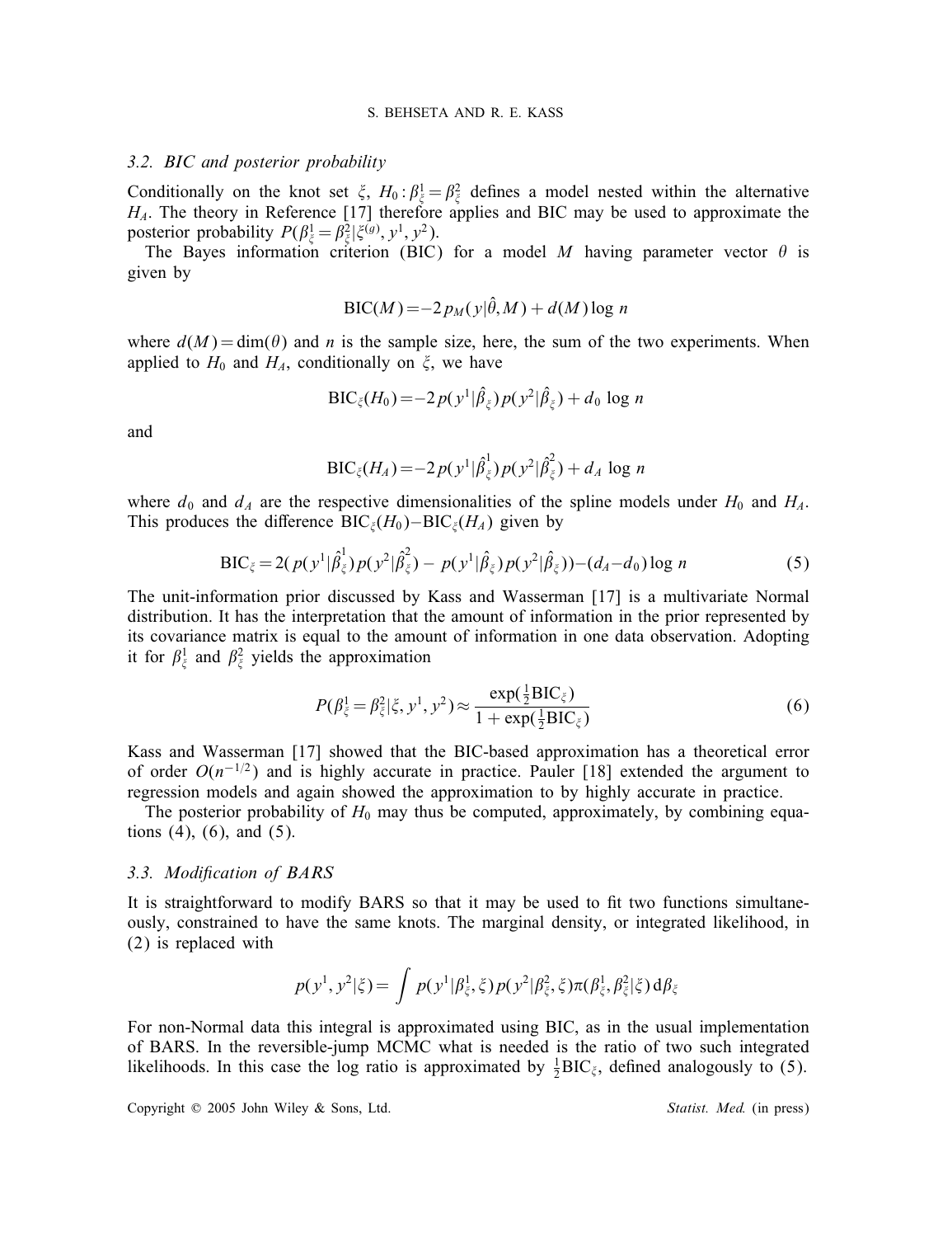## *3.2. BIC and posterior probability*

Conditionally on the knot set  $\xi$ ,  $H_0: \beta_{\xi}^1 = \beta_{\xi}^2$  defines a model nested within the alternative  $H_A$ . The theory in Reference [17] therefore applies and BIC may be used to approximate the posterior probability  $P(\beta_{\xi}^1 = \beta_{\xi}^2 | \xi^{(g)}, y^1, y^2)$ .

The Bayes information criterion (BIC) for a model M having parameter vector  $\theta$  is given by

$$
\text{BIC}(M) = -2\,p_M(y|\hat{\theta},M) + d(M)\log n
$$

where  $d(M) = \dim(\theta)$  and n is the sample size, here, the sum of the two experiments. When applied to  $H_0$  and  $H_A$ , conditionally on  $\xi$ , we have

$$
\mathrm{BIC}_{\xi}(H_0) = -2p(y^1|\hat{\beta}_{\xi})p(y^2|\hat{\beta}_{\xi}) + d_0 \log n
$$

and

$$
\mathrm{BIC}_{\xi}(H_A) = -2p(y^1|\hat{\beta}_{\xi}^1)p(y^2|\hat{\beta}_{\xi}^2) + d_A \log n
$$

where  $d_0$  and  $d_A$  are the respective dimensionalities of the spline models under  $H_0$  and  $H_A$ . This produces the difference BIC<sub> $\xi$ </sub>(H<sub>0</sub>)–BIC<sub> $\xi$ </sub>(H<sub>A</sub>) given by

$$
BIC_{\xi} = 2(p(y^1|\hat{\beta}_{\xi}^1)p(y^2|\hat{\beta}_{\xi}^2) - p(y^1|\hat{\beta}_{\xi})p(y^2|\hat{\beta}_{\xi})) - (d_A - d_0) \log n
$$
 (5)

The unit-information prior discussed by Kass and Wasserman [17] is a multivariate Normal distribution. It has the interpretation that the amount of information in the prior represented by its covariance matrix is equal to the amount of information in one data observation. Adopting it for  $\beta_{\xi}^{1}$  and  $\beta_{\xi}^{2}$  yields the approximation

$$
P(\beta_{\xi}^{1} = \beta_{\xi}^{2} | \xi, y^{1}, y^{2}) \approx \frac{\exp(\frac{1}{2}BIC_{\xi})}{1 + \exp(\frac{1}{2}BIC_{\xi})}
$$
(6)

Kass and Wasserman [17] showed that the BIC-based approximation has a theoretical error of order  $O(n^{-1/2})$  and is highly accurate in practice. Pauler [18] extended the argument to regression models and again showed the approximation to by highly accurate in practice.

The posterior probability of  $H_0$  may thus be computed, approximately, by combining equations  $(4)$ ,  $(6)$ , and  $(5)$ .

## *3.3. Modication of BARS*

It is straightforward to modify BARS so that it may be used to fit two functions simultaneously, constrained to have the same knots. The marginal density, or integrated likelihood, in (2) is replaced with

$$
p(y^1, y^2 | \xi) = \int p(y^1 | \beta_{\xi}^1, \xi) p(y^2 | \beta_{\xi}^2, \xi) \pi(\beta_{\xi}^1, \beta_{\xi}^2 | \xi) d\beta_{\xi}
$$

For non-Normal data this integral is approximated using BIC, as in the usual implementation of BARS. In the reversible-jump MCMC what is needed is the ratio of two such integrated likelihoods. In this case the log ratio is approximated by  $\frac{1}{2}BIC_{\xi}$ , defined analogously to (5).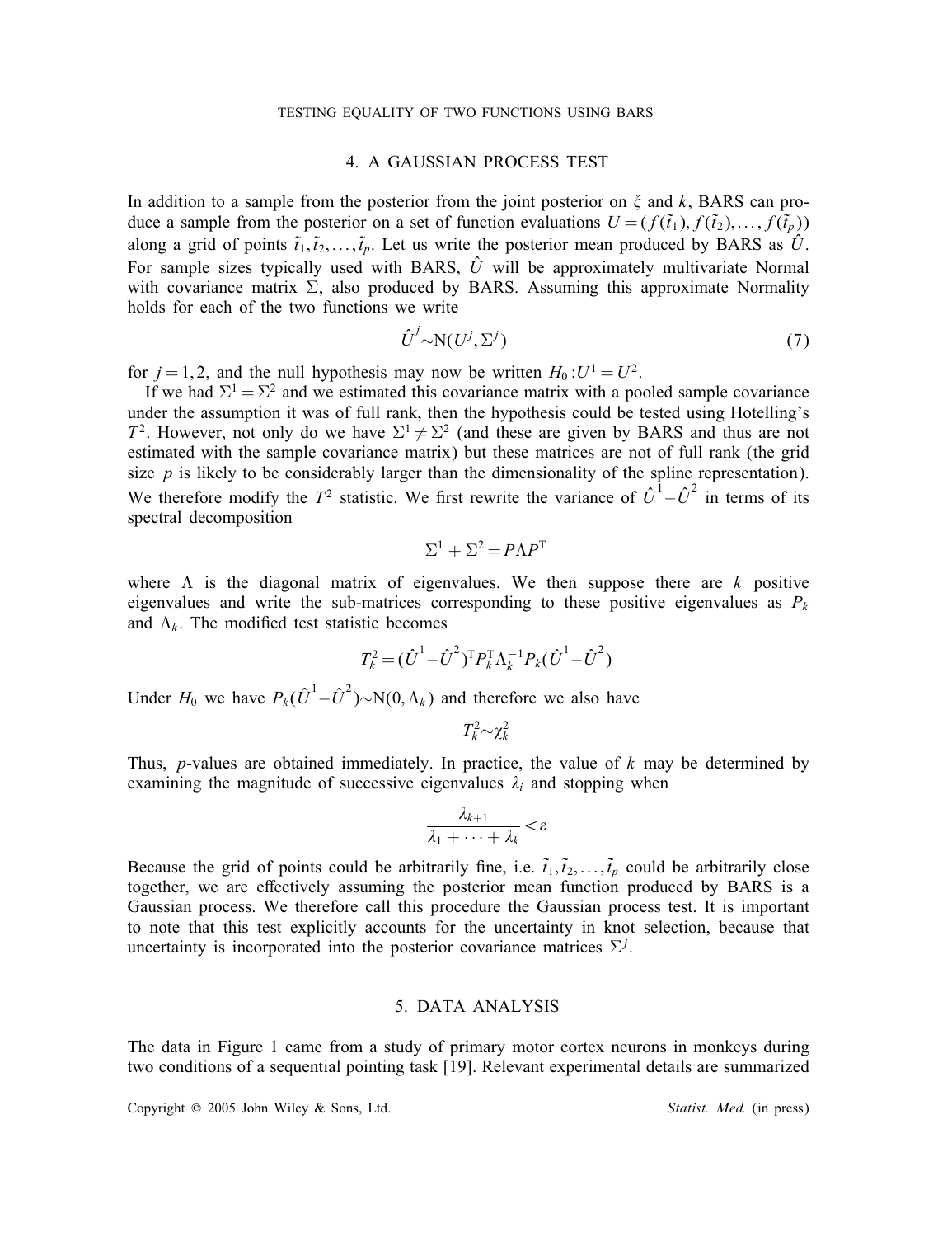# 4. A GAUSSIAN PROCESS TEST

In addition to a sample from the posterior from the joint posterior on  $\zeta$  and k, BARS can produce a sample from the posterior on a set of function evaluations  $U = (f(\tilde{t}_1), f(\tilde{t}_2), \dots, f(\tilde{t}_p))$ along a grid of points  $\tilde{t}_1, \tilde{t}_2, \ldots, \tilde{t}_p$ . Let us write the posterior mean produced by BARS as  $\hat{U}$ . For sample sizes typically used with BARS,  $\hat{U}$  will be approximately multivariate Normal with covariance matrix  $\Sigma$ , also produced by BARS. Assuming this approximate Normality holds for each of the two functions we write

$$
\hat{U}^j \sim N(U^j, \Sigma^j) \tag{7}
$$

for  $j = 1, 2$ , and the null hypothesis may now be written  $H_0: U^1 = U^2$ .

If we had  $\Sigma^1 = \Sigma^2$  and we estimated this covariance matrix with a pooled sample covariance under the assumption it was of full rank, then the hypothesis could be tested using Hotelling's  $T^2$ . However, not only do we have  $\Sigma^1 \neq \Sigma^2$  (and these are given by BARS and thus are not estimated with the sample covariance matrix) but these matrices are not of full rank (the grid size  $p$  is likely to be considerably larger than the dimensionality of the spline representation). We therefore modify the  $T^2$  statistic. We first rewrite the variance of  $\hat{U}^1 - \hat{U}^2$  in terms of its spectral decomposition

$$
\Sigma^1 + \Sigma^2 = P\Lambda P^T
$$

where  $\Lambda$  is the diagonal matrix of eigenvalues. We then suppose there are k positive eigenvalues and write the sub-matrices corresponding to these positive eigenvalues as  $P_k$ and  $\Lambda_k$ . The modified test statistic becomes

$$
T_k^2 = (\hat{U}^1 - \hat{U}^2)^T P_k^T \Lambda_k^{-1} P_k (\hat{U}^1 - \hat{U}^2)
$$

Under  $H_0$  we have  $P_k(\hat{U}^1 - \hat{U}^2) \sim N(0, \Lambda_k)$  and therefore we also have

$$
T_k^2 \sim \chi_k^2
$$

Thus, *p*-values are obtained immediately. In practice, the value of  $k$  may be determined by examining the magnitude of successive eigenvalues  $\lambda_i$  and stopping when

$$
\frac{\lambda_{k+1}}{\lambda_1 + \cdots + \lambda_k} < \varepsilon
$$

Because the grid of points could be arbitrarily fine, i.e.  $\tilde{t}_1, \tilde{t}_2, \ldots, \tilde{t}_p$  could be arbitrarily close together, we are effectively assuming the posterior mean function produced by BARS is a Gaussian process. We therefore call this procedure the Gaussian process test. It is important to note that this test explicitly accounts for the uncertainty in knot selection, because that uncertainty is incorporated into the posterior covariance matrices  $\Sigma^{j}$ .

# 5. DATA ANALYSIS

The data in Figure 1 came from a study of primary motor cortex neurons in monkeys during two conditions of a sequential pointing task [19]. Relevant experimental details are summarized

Copyright © 2005 John Wiley & Sons, Ltd. *Statist. Med.* (in press)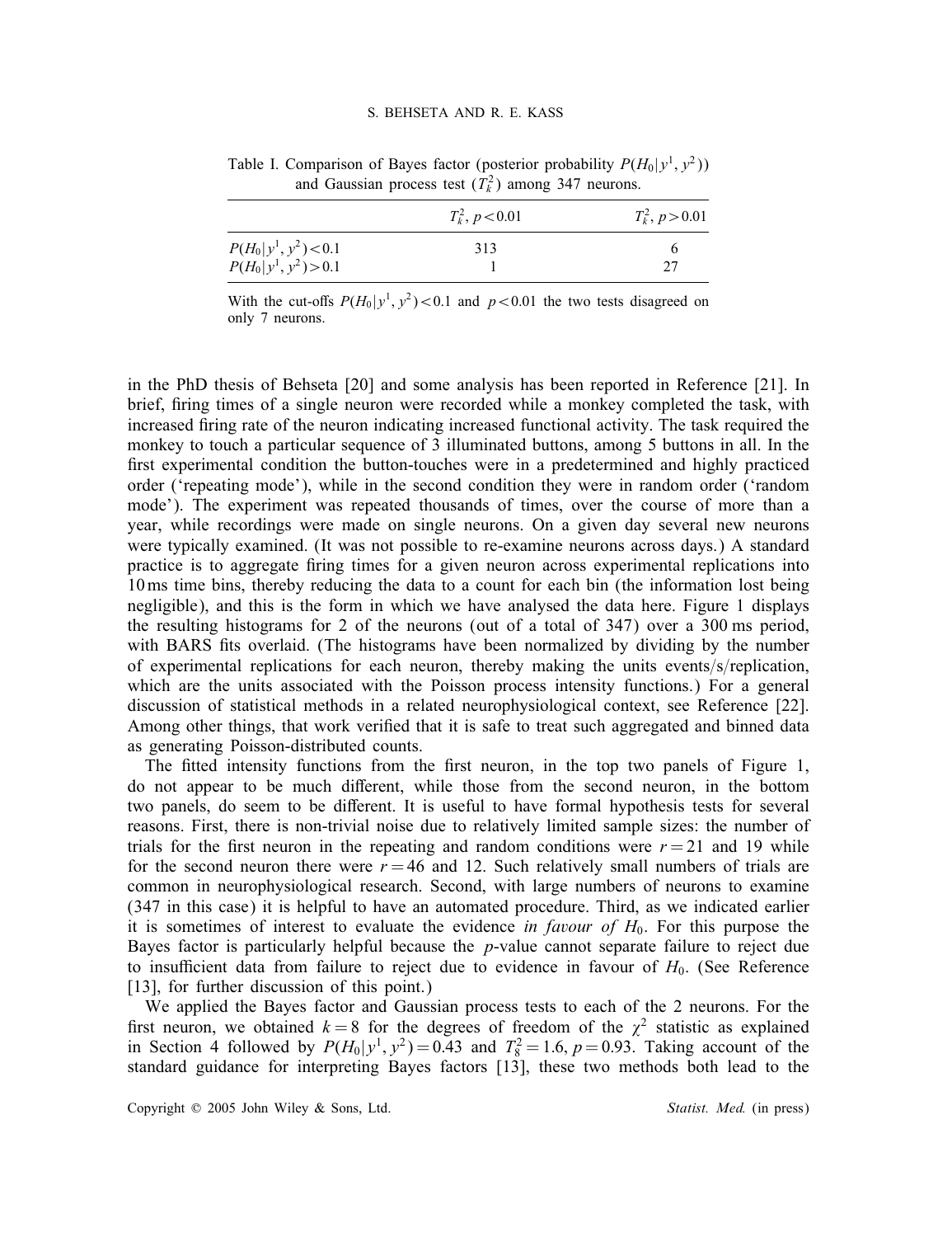|                         | $T_k^2$ , $p < 0.01$ | $T_k^2$ , $p > 0.01$ |  |
|-------------------------|----------------------|----------------------|--|
| $P(H_0 y^1, y^2)$ < 0.1 | 313                  |                      |  |
| $P(H_0 y^1, y^2) > 0.1$ |                      |                      |  |

Table I. Comparison of Bayes factor (posterior probability  $P(H_0|y^1, y^2)$ ) and Gaussian process test  $(T_k^2)$  among 347 neurons.

With the cut-offs  $P(H_0|y^1, y^2)$  < 0.1 and  $p < 0.01$  the two tests disagreed on only 7 neurons.

in the PhD thesis of Behseta [20] and some analysis has been reported in Reference [21]. In brief, firing times of a single neuron were recorded while a monkey completed the task, with increased firing rate of the neuron indicating increased functional activity. The task required the monkey to touch a particular sequence of 3 illuminated buttons, among 5 buttons in all. In the first experimental condition the button-touches were in a predetermined and highly practiced order ('repeating mode'), while in the second condition they were in random order ('random mode'). The experiment was repeated thousands of times, over the course of more than a year, while recordings were made on single neurons. On a given day several new neurons were typically examined. (It was not possible to re-examine neurons across days.) A standard practice is to aggregate firing times for a given neuron across experimental replications into 10 ms time bins, thereby reducing the data to a count for each bin (the information lost being negligible), and this is the form in which we have analysed the data here. Figure 1 displays the resulting histograms for 2 of the neurons (out of a total of 347) over a 300 ms period, with BARS fits overlaid. (The histograms have been normalized by dividing by the number of experimental replications for each neuron, thereby making the units events/s/replication, which are the units associated with the Poisson process intensity functions.) For a general discussion of statistical methods in a related neurophysiological context, see Reference [22]. Among other things, that work verified that it is safe to treat such aggregated and binned data as generating Poisson-distributed counts.

The fitted intensity functions from the first neuron, in the top two panels of Figure 1, do not appear to be much different, while those from the second neuron, in the bottom two panels, do seem to be different. It is useful to have formal hypothesis tests for several reasons. First, there is non-trivial noise due to relatively limited sample sizes: the number of trials for the first neuron in the repeating and random conditions were  $r = 21$  and 19 while for the second neuron there were  $r = 46$  and 12. Such relatively small numbers of trials are common in neurophysiological research. Second, with large numbers of neurons to examine (347 in this case) it is helpful to have an automated procedure. Third, as we indicated earlier it is sometimes of interest to evaluate the evidence *in favour of*  $H_0$ . For this purpose the Bayes factor is particularly helpful because the  $p$ -value cannot separate failure to reject due to insufficient data from failure to reject due to evidence in favour of  $H_0$ . (See Reference [13], for further discussion of this point.)

We applied the Bayes factor and Gaussian process tests to each of the 2 neurons. For the first neuron, we obtained  $k = 8$  for the degrees of freedom of the  $\chi^2$  statistic as explained in Section 4 followed by  $P(H_0|y^1, y^2) = 0.43$  and  $T_8^2 = 1.6$ ,  $p = 0.93$ . Taking account of the standard guidance for interpreting Bayes factors [13], these two methods both lead to the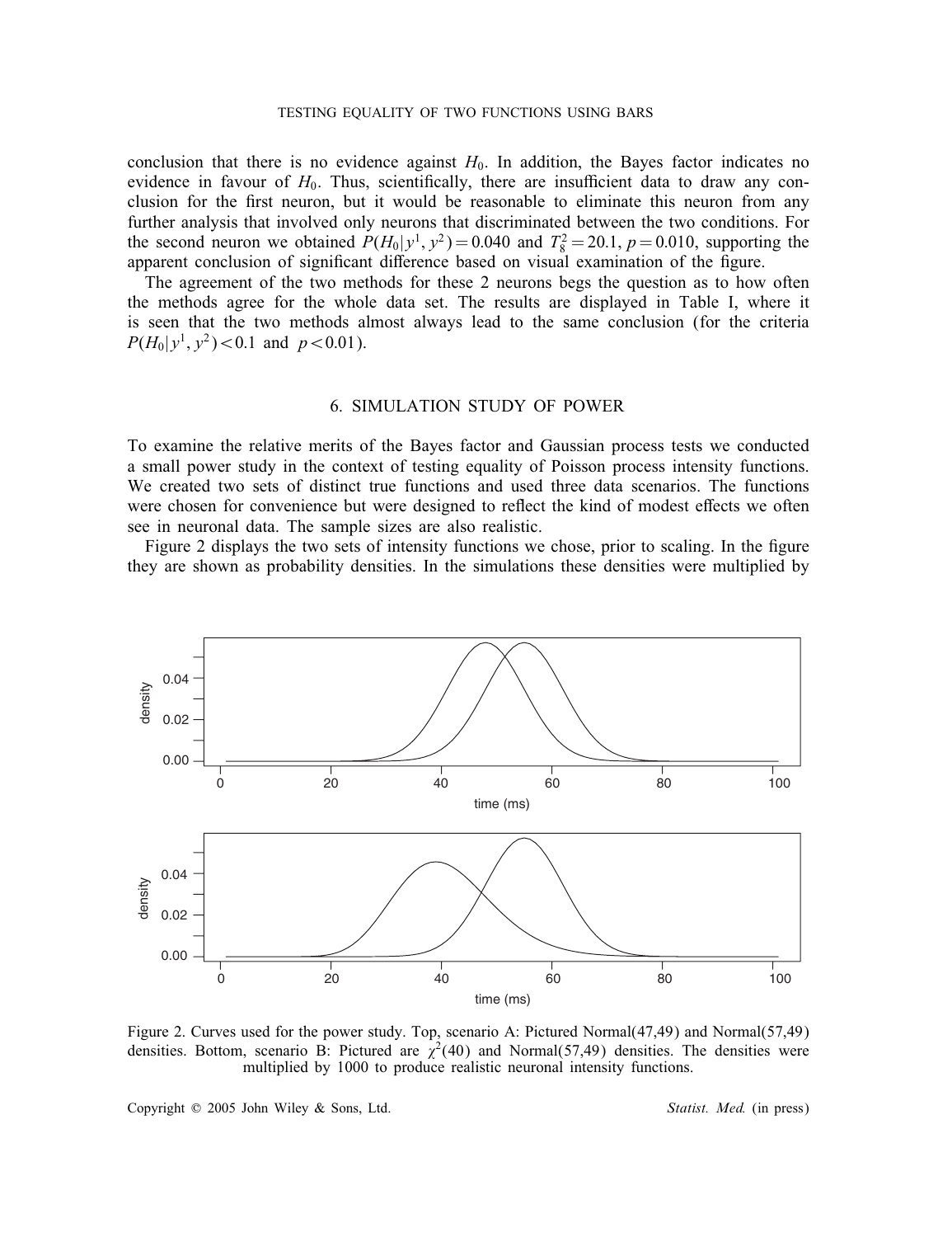#### TESTING EQUALITY OF TWO FUNCTIONS USING BARS

conclusion that there is no evidence against  $H_0$ . In addition, the Bayes factor indicates no evidence in favour of  $H_0$ . Thus, scientifically, there are insufficient data to draw any conclusion for the first neuron, but it would be reasonable to eliminate this neuron from any further analysis that involved only neurons that discriminated between the two conditions. For the second neuron we obtained  $P(H_0|y^1, y^2) = 0.040$  and  $T_8^2 = 20.1$ ,  $p = 0.010$ , supporting the apparent conclusion of significant difference based on visual examination of the figure.

The agreement of the two methods for these 2 neurons begs the question as to how often the methods agree for the whole data set. The results are displayed in Table I, where it is seen that the two methods almost always lead to the same conclusion (for the criteria  $P(H_0|y^1, y^2)$  < 0.1 and  $p$  < 0.01).

## 6. SIMULATION STUDY OF POWER

To examine the relative merits of the Bayes factor and Gaussian process tests we conducted a small power study in the context of testing equality of Poisson process intensity functions. We created two sets of distinct true functions and used three data scenarios. The functions were chosen for convenience but were designed to reflect the kind of modest effects we often see in neuronal data. The sample sizes are also realistic.

Figure 2 displays the two sets of intensity functions we chose, prior to scaling. In the figure they are shown as probability densities. In the simulations these densities were multiplied by



Figure 2. Curves used for the power study. Top, scenario A: Pictured Normal(47,49) and Normal(57,49) densities. Bottom, scenario B: Pictured are  $\chi^2(40)$  and Normal(57,49) densities. The densities were multiplied by 1000 to produce realistic neuronal intensity functions.

Copyright ? 2005 John Wiley & Sons, Ltd. *Statist. Med.* (in press)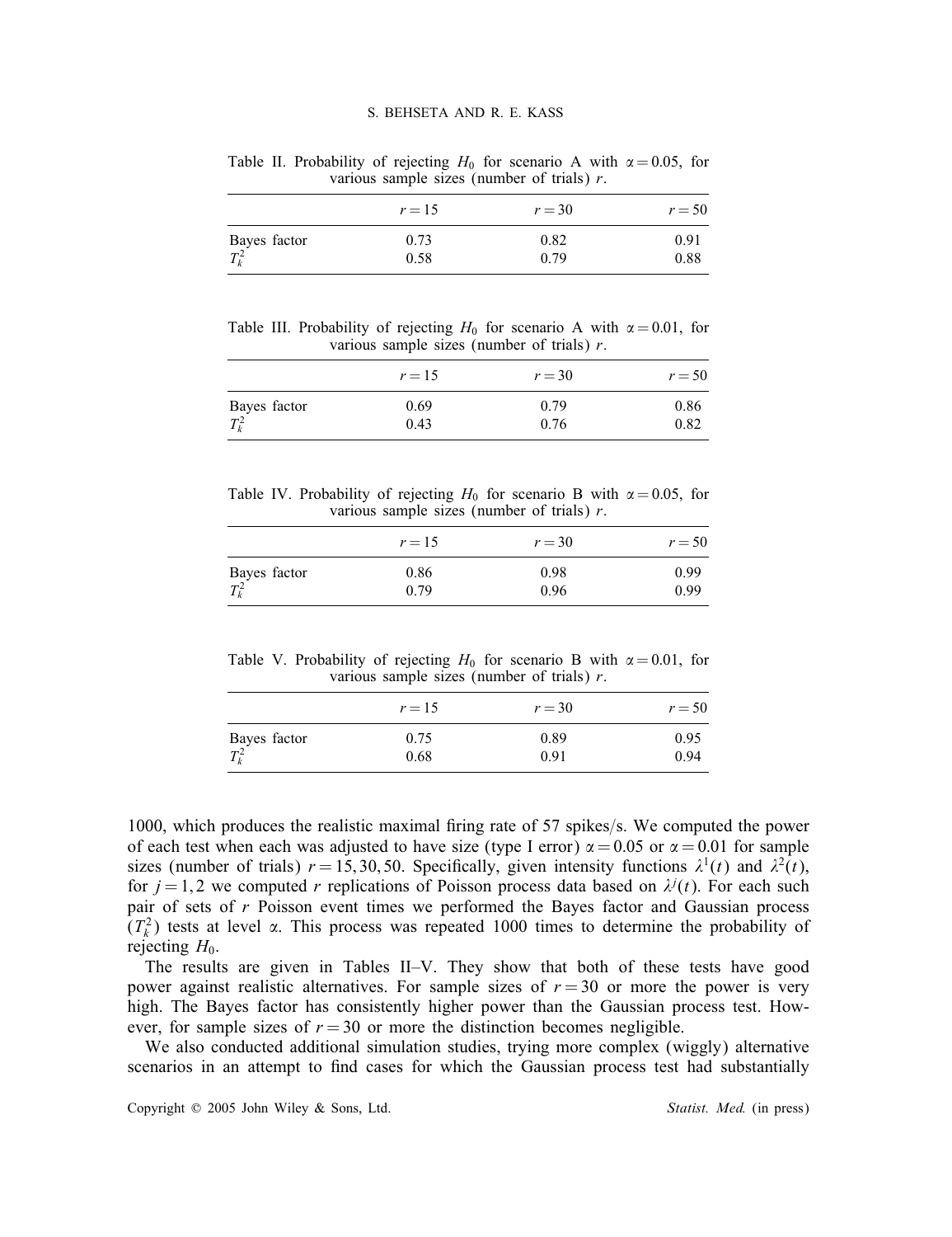Table II. Probability of rejecting  $H_0$  for scenario A with  $\alpha = 0.05$ , for various sample sizes (number of trials)  $r$ .

|                         | $r=15$ | $r = 30$ | $r = 50$ |
|-------------------------|--------|----------|----------|
|                         | 0.73   | 0.82     | 0.91     |
| Bayes factor<br>$T_k^2$ | 0.58   | 0.79     | 0.88     |

Table III. Probability of rejecting  $H_0$  for scenario A with  $\alpha = 0.01$ , for various sample sizes (number of trials)  $r$ .

|                      | $r=15$ | $r = 30$ | $r = 50$ |
|----------------------|--------|----------|----------|
|                      | 0.69   | 0.79     | 0.86     |
| Bayes factor $T_k^2$ | 0.43   | 0.76     | 0.82     |

Table IV. Probability of rejecting  $H_0$  for scenario B with  $\alpha = 0.05$ , for various sample sizes (number of trials)  $r$ .

|              | $r=15$ | $r = 30$ | $r = 50$ |
|--------------|--------|----------|----------|
| Bayes factor | 0.86   | 0.98     | 0.99     |
| $T_k^2$      | 0.79   | 0.96     | 0.99     |

Table V. Probability of rejecting  $H_0$  for scenario B with  $\alpha = 0.01$ , for various sample sizes (number of trials)  $r$ .

|              | $r=15$ | $r = 30$ | $r = 50$ |
|--------------|--------|----------|----------|
| Bayes factor | 0.75   | 0.89     | 0.95     |
| $T_k^2$      | 0.68   | 0.91     | 0.94     |

1000, which produces the realistic maximal firing rate of 57 spikes/s. We computed the power of each test when each was adjusted to have size (type I error)  $\alpha = 0.05$  or  $\alpha = 0.01$  for sample sizes (number of trials)  $r = 15, 30, 50$ . Specifically, given intensity functions  $\lambda^1(t)$  and  $\lambda^2(t)$ , for  $j = 1, 2$  we computed r replications of Poisson process data based on  $\lambda^{j}(t)$ . For each such pair of sets of r Poisson event times we performed the Bayes factor and Gaussian process  $(T_k^2)$  tests at level  $\alpha$ . This process was repeated 1000 times to determine the probability of rejecting  $H_0$ .

The results are given in Tables II–V. They show that both of these tests have good power against realistic alternatives. For sample sizes of  $r = 30$  or more the power is very high. The Bayes factor has consistently higher power than the Gaussian process test. However, for sample sizes of  $r = 30$  or more the distinction becomes negligible.

We also conducted additional simulation studies, trying more complex (wiggly) alternative scenarios in an attempt to find cases for which the Gaussian process test had substantially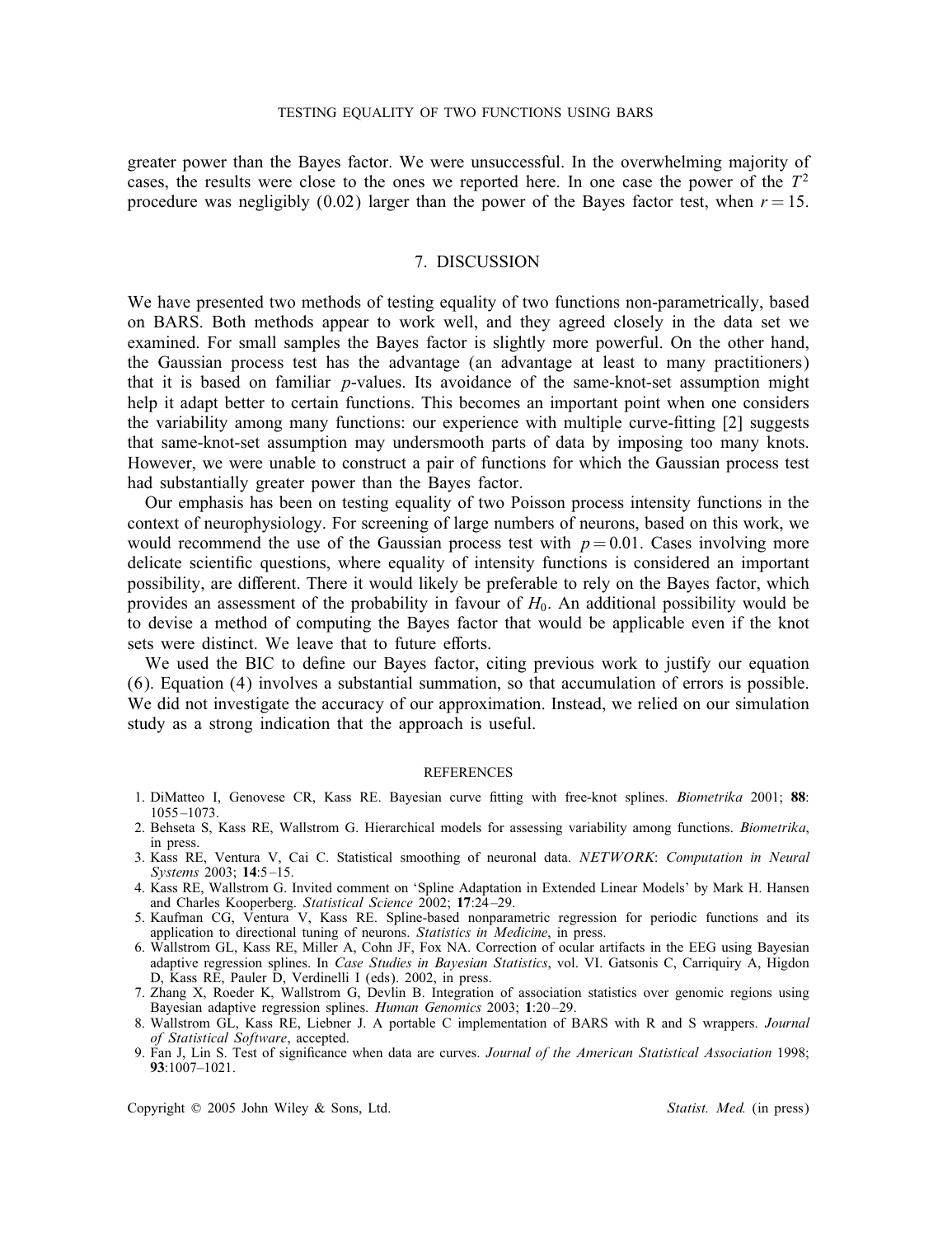greater power than the Bayes factor. We were unsuccessful. In the overwhelming majority of cases, the results were close to the ones we reported here. In one case the power of the  $T<sup>2</sup>$ procedure was negligibly (0.02) larger than the power of the Bayes factor test, when  $r = 15$ .

## 7. DISCUSSION

We have presented two methods of testing equality of two functions non-parametrically, based on BARS. Both methods appear to work well, and they agreed closely in the data set we examined. For small samples the Bayes factor is slightly more powerful. On the other hand, the Gaussian process test has the advantage (an advantage at least to many practitioners) that it is based on familiar p-values. Its avoidance of the same-knot-set assumption might help it adapt better to certain functions. This becomes an important point when one considers the variability among many functions: our experience with multiple curve-tting [2] suggests that same-knot-set assumption may undersmooth parts of data by imposing too many knots. However, we were unable to construct a pair of functions for which the Gaussian process test had substantially greater power than the Bayes factor.

Our emphasis has been on testing equality of two Poisson process intensity functions in the context of neurophysiology. For screening of large numbers of neurons, based on this work, we would recommend the use of the Gaussian process test with  $p = 0.01$ . Cases involving more delicate scientific questions, where equality of intensity functions is considered an important possibility, are different. There it would likely be preferable to rely on the Bayes factor, which provides an assessment of the probability in favour of  $H_0$ . An additional possibility would be to devise a method of computing the Bayes factor that would be applicable even if the knot sets were distinct. We leave that to future efforts.

We used the BIC to define our Bayes factor, citing previous work to justify our equation (6). Equation (4) involves a substantial summation, so that accumulation of errors is possible. We did not investigate the accuracy of our approximation. Instead, we relied on our simulation study as a strong indication that the approach is useful.

### **REFERENCES**

- 1. DiMatteo I, Genovese CR, Kass RE. Bayesian curve tting with free-knot splines. *Biometrika* 2001; 88: 1055 –1073.
- 2. Behseta S, Kass RE, Wallstrom G. Hierarchical models for assessing variability among functions. *Biometrika*, in press.
- 3. Kass RE, Ventura V, Cai C. Statistical smoothing of neuronal data. *NETWORK*: *Computation in Neural Systems* 2003; 14:5-15.
- 4. Kass RE, Wallstrom G. Invited comment on 'Spline Adaptation in Extended Linear Models' by Mark H. Hansen and Charles Kooperberg. *Statistical Science* 2002; 17:24 –29.
- 5. Kaufman CG, Ventura V, Kass RE. Spline-based nonparametric regression for periodic functions and its application to directional tuning of neurons. *Statistics in Medicine*, in press.
- 6. Wallstrom GL, Kass RE, Miller A, Cohn JF, Fox NA. Correction of ocular artifacts in the EEG using Bayesian adaptive regression splines. In *Case Studies in Bayesian Statistics*, vol. VI. Gatsonis C, Carriquiry A, Higdon D, Kass RE, Pauler D, Verdinelli I (eds). 2002, in press.
- 7. Zhang X, Roeder K, Wallstrom G, Devlin B. Integration of association statistics over genomic regions using Bayesian adaptive regression splines. *Human Genomics* 2003; 1:20 –29.
- 8. Wallstrom GL, Kass RE, Liebner J. A portable C implementation of BARS with R and S wrappers. *Journal of Statistical Software*, accepted.
- 9. Fan J, Lin S. Test of signicance when data are curves. *Journal of the American Statistical Association* 1998; 93:1007–1021.

Copyright  $\oslash$  2005 John Wiley & Sons, Ltd. **Statist. Med.** (in press)